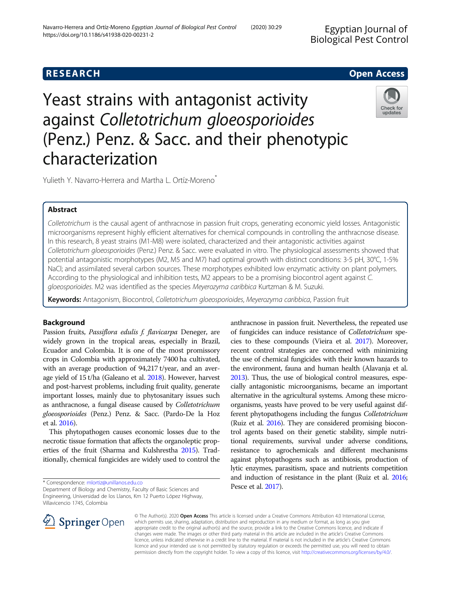# **RESEARCH CHE Open Access**

Yeast strains with antagonist activity against Colletotrichum gloeosporioides (Penz.) Penz. & Sacc. and their phenotypic characterization



Yulieth Y. Navarro-Herrera and Martha L. Ortíz-Moreno<sup>\*</sup>

## Abstract

Colletotrichum is the causal agent of anthracnose in passion fruit crops, generating economic yield losses. Antagonistic microorganisms represent highly efficient alternatives for chemical compounds in controlling the anthracnose disease. In this research, 8 yeast strains (M1-M8) were isolated, characterized and their antagonistic activities against Colletotrichum gloeosporioides (Penz.) Penz. & Sacc. were evaluated in vitro. The physiological assessments showed that potential antagonistic morphotypes (M2, M5 and M7) had optimal growth with distinct conditions: 3-5 pH, 30°C, 1-5% NaCl; and assimilated several carbon sources. These morphotypes exhibited low enzymatic activity on plant polymers. According to the physiological and inhibition tests, M2 appears to be a promising biocontrol agent against C. gloeosporioides. M2 was identified as the species Meyerozyma caribbica Kurtzman & M. Suzuki.

Keywords: Antagonism, Biocontrol, Colletotrichum gloeosporioides, Meyerozyma caribbica, Passion fruit

## Background

Passion fruits, Passiflora edulis f. flavicarpa Deneger, are widely grown in the tropical areas, especially in Brazil, Ecuador and Colombia. It is one of the most promissory crops in Colombia with approximately 7400 ha cultivated, with an average production of 94,217 t/year, and an average yield of 15 t/ha (Galeano et al. [2018\)](#page-6-0). However, harvest and post-harvest problems, including fruit quality, generate important losses, mainly due to phytosanitary issues such as anthracnose, a fungal disease caused by Colletotrichum gloeosporioides (Penz.) Penz. & Sacc. (Pardo-De la Hoz et al. [2016\)](#page-7-0).

This phytopathogen causes economic losses due to the necrotic tissue formation that affects the organoleptic properties of the fruit (Sharma and Kulshrestha [2015](#page-7-0)). Traditionally, chemical fungicides are widely used to control the

\* Correspondence: [mlortiz@unillanos.edu.co](mailto:mlortiz@unillanos.edu.co)

Department of Biology and Chemistry, Faculty of Basic Sciences and Engineering, Universidad de los Llanos, Km 12 Puerto López Highway, Villavicencio 1745, Colombia



anthracnose in passion fruit. Nevertheless, the repeated use of fungicides can induce resistance of Colletotrichum species to these compounds (Vieira et al. [2017](#page-7-0)). Moreover, recent control strategies are concerned with minimizing the use of chemical fungicides with their known hazards to the environment, fauna and human health (Alavanja et al. [2013\)](#page-6-0). Thus, the use of biological control measures, especially antagonistic microorganisms, became an important alternative in the agricultural systems. Among these microorganisms, yeasts have proved to be very useful against different phytopathogens including the fungus Colletotrichum (Ruiz et al. [2016\)](#page-7-0). They are considered promising biocontrol agents based on their genetic stability, simple nutritional requirements, survival under adverse conditions, resistance to agrochemicals and different mechanisms against phytopathogens such as antibiosis, production of lytic enzymes, parasitism, space and nutrients competition and induction of resistance in the plant (Ruiz et al. [2016](#page-7-0); Pesce et al. [2017\)](#page-7-0).

© The Author(s). 2020 Open Access This article is licensed under a Creative Commons Attribution 4.0 International License, which permits use, sharing, adaptation, distribution and reproduction in any medium or format, as long as you give appropriate credit to the original author(s) and the source, provide a link to the Creative Commons licence, and indicate if changes were made. The images or other third party material in this article are included in the article's Creative Commons licence, unless indicated otherwise in a credit line to the material. If material is not included in the article's Creative Commons licence and your intended use is not permitted by statutory regulation or exceeds the permitted use, you will need to obtain permission directly from the copyright holder. To view a copy of this licence, visit <http://creativecommons.org/licenses/by/4.0/>.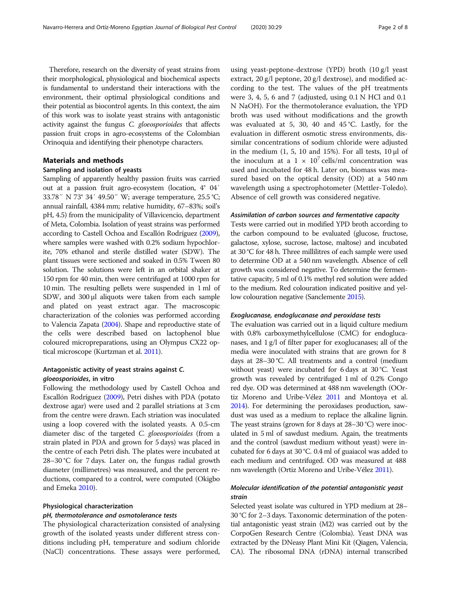Therefore, research on the diversity of yeast strains from their morphological, physiological and biochemical aspects is fundamental to understand their interactions with the environment, their optimal physiological conditions and their potential as biocontrol agents. In this context, the aim of this work was to isolate yeast strains with antagonistic activity against the fungus C. gloeosporioides that affects passion fruit crops in agro-ecosystems of the Colombian Orinoquia and identifying their phenotype characters.

## Materials and methods

## Sampling and isolation of yeasts

Sampling of apparently healthy passion fruits was carried out at a passion fruit agro-ecosystem (location, 4° 04′ 33.78″ N 73° 34′ 49.50″ W; average temperature, 25.5 °C; annual rainfall, 4384 mm; relative humidity, 67–83%; soil's pH, 4.5) from the municipality of Villavicencio, department of Meta, Colombia. Isolation of yeast strains was performed according to Castell Ochoa and Escallón Rodríguez [\(2009](#page-6-0)), where samples were washed with 0.2% sodium hypochlorite, 70% ethanol and sterile distilled water (SDW). The plant tissues were sectioned and soaked in 0.5% Tween 80 solution. The solutions were left in an orbital shaker at 150 rpm for 40 min, then were centrifuged at 1000 rpm for 10 min. The resulting pellets were suspended in 1 ml of SDW, and 300 μl aliquots were taken from each sample and plated on yeast extract agar. The macroscopic characterization of the colonies was performed according to Valencia Zapata [\(2004](#page-7-0)). Shape and reproductive state of the cells were described based on lactophenol blue coloured micropreparations, using an Olympus CX22 optical microscope (Kurtzman et al. [2011](#page-7-0)).

## Antagonistic activity of yeast strains against C. gloeosporioides, in vitro

Following the methodology used by Castell Ochoa and Escallón Rodríguez [\(2009](#page-6-0)), Petri dishes with PDA (potato dextrose agar) were used and 2 parallel striations at 3 cm from the centre were drawn. Each striation was inoculated using a loop covered with the isolated yeasts. A 0.5-cm diameter disc of the targeted C. gloeosporioides (from a strain plated in PDA and grown for 5 days) was placed in the centre of each Petri dish. The plates were incubated at 28–30 °C for 7 days. Later on, the fungus radial growth diameter (millimetres) was measured, and the percent reductions, compared to a control, were computed (Okigbo and Emeka [2010\)](#page-7-0).

#### Physiological characterization

### pH, thermotolerance and osmotolerance tests

The physiological characterization consisted of analysing growth of the isolated yeasts under different stress conditions including pH, temperature and sodium chloride (NaCl) concentrations. These assays were performed,

using yeast-peptone-dextrose (YPD) broth (10 g/l yeast extract, 20 g/l peptone, 20 g/l dextrose), and modified according to the test. The values of the pH treatments were 3, 4, 5, 6 and 7 (adjusted, using  $0.1$  N HCl and  $0.1$ N NaOH). For the thermotolerance evaluation, the YPD broth was used without modifications and the growth was evaluated at 5, 30, 40 and 45 °C. Lastly, for the evaluation in different osmotic stress environments, dissimilar concentrations of sodium chloride were adjusted in the medium  $(1, 5, 10$  and  $15\%)$ . For all tests,  $10 \mu l$  of the inoculum at a  $1 \times 10^7$  cells/ml concentration was used and incubated for 48 h. Later on, biomass was measured based on the optical density (OD) at a 540 nm wavelength using a spectrophotometer (Mettler-Toledo). Absence of cell growth was considered negative.

#### Assimilation of carbon sources and fermentative capacity

Tests were carried out in modified YPD broth according to the carbon compound to be evaluated (glucose, fructose, galactose, xylose, sucrose, lactose, maltose) and incubated at 30 °C for 48 h. Three millilitres of each sample were used to determine OD at a 540 nm wavelength. Absence of cell growth was considered negative. To determine the fermentative capacity, 5 ml of 0.1% methyl red solution were added to the medium. Red colouration indicated positive and yellow colouration negative (Sanclemente [2015\)](#page-7-0).

#### Exoglucanase, endoglucanase and peroxidase tests

The evaluation was carried out in a liquid culture medium with 0.8% carboxymethylcellulose (CMC) for endoglucanases, and 1 g/l of filter paper for exoglucanases; all of the media were inoculated with strains that are grown for 8 days at 28–30 °C. All treatments and a control (medium without yeast) were incubated for 6 days at 30 °C. Yeast growth was revealed by centrifuged 1 ml of 0.2% Congo red dye. OD was determined at 488 nm wavelength (OOrtiz Moreno and Uribe-Vélez [2011](#page-7-0) and Montoya et al. [2014\)](#page-7-0). For determining the peroxidases production, sawdust was used as a medium to replace the alkaline lignin. The yeast strains (grown for 8 days at 28–30 °C) were inoculated in 5 ml of sawdust medium. Again, the treatments and the control (sawdust medium without yeast) were incubated for 6 days at 30 °C. 0.4 ml of guaiacol was added to each medium and centrifuged. OD was measured at 488 nm wavelength (Ortiz Moreno and Uribe-Vélez [2011\)](#page-7-0).

## Molecular identification of the potential antagonistic yeast strain

Selected yeast isolate was cultured in YPD medium at 28– 30 °C for 2–3 days. Taxonomic determination of the potential antagonistic yeast strain (M2) was carried out by the CorpoGen Research Centre (Colombia). Yeast DNA was extracted by the DNeasy Plant Mini Kit (Qiagen, Valencia, CA). The ribosomal DNA (rDNA) internal transcribed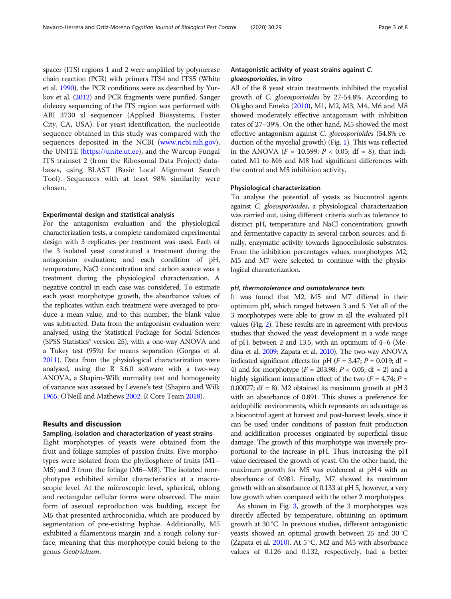spacer (ITS) regions 1 and 2 were amplified by polymerase chain reaction (PCR) with primers ITS4 and ITS5 (White et al. [1990\)](#page-7-0), the PCR conditions were as described by Yurkov et al. [\(2012](#page-7-0)) and PCR fragments were purified. Sanger dideoxy sequencing of the ITS region was performed with ABI 3730 xl sequencer (Applied Biosystems, Foster City, CA, USA). For yeast identification, the nucleotide sequence obtained in this study was compared with the sequences deposited in the NCBI ([www.ncbi.nih.gov](http://www.ncbi.nih.gov)), the UNITE [\(https://unite.ut.ee](https://unite.ut.ee)), and the Warcup Fungal ITS trainset 2 (from the Ribosomal Data Project) databases, using BLAST (Basic Local Alignment Search Tool). Sequences with at least 98% similarity were chosen.

### Experimental design and statistical analysis

For the antagonism evaluation and the physiological characterization tests, a complete randomized experimental design with 3 replicates per treatment was used. Each of the 3 isolated yeast constituted a treatment during the antagonism evaluation; and each condition of pH, temperature, NaCl concentration and carbon source was a treatment during the physiological characterization. A negative control in each case was considered. To estimate each yeast morphotype growth, the absorbance values of the replicates within each treatment were averaged to produce a mean value, and to this number, the blank value was subtracted. Data from the antagonism evaluation were analysed, using the Statistical Package for Social Sciences (SPSS Statistics® version 25), with a one-way ANOVA and a Tukey test (95%) for means separation (Gorgas et al. [2011\)](#page-6-0). Data from the physiological characterization were analysed, using the R 3.6.0 software with a two-way ANOVA, a Shapiro-Wilk normality test and homogeneity of variance was assessed by Levene's test (Shapiro and Wilk [1965;](#page-7-0) O'Neill and Mathews [2002](#page-7-0); R Core Team [2018\)](#page-7-0).

## Results and discussion

#### Sampling, isolation and characterization of yeast strains

Eight morphotypes of yeasts were obtained from the fruit and foliage samples of passion fruits. Five morphotypes were isolated from the phyllosphere of fruits (M1– M5) and 3 from the foliage (M6–M8). The isolated morphotypes exhibited similar characteristics at a macroscopic level. At the microscopic level, spherical, oblong and rectangular cellular forms were observed. The main form of asexual reproduction was budding, except for M5 that presented arthroconidia, which are produced by segmentation of pre-existing hyphae. Additionally, M5 exhibited a filamentous margin and a rough colony surface, meaning that this morphotype could belong to the genus Geotrichum.

## Antagonistic activity of yeast strains against C. gloeosporioides, in vitro

All of the 8 yeast strain treatments inhibited the mycelial growth of C. gloeosporioides by 27-54.8%. According to Okigbo and Emeka ([2010](#page-7-0)), M1, M2, M3, M4, M6 and M8 showed moderately effective antagonism with inhibition rates of 27–39%. On the other hand, M5 showed the most effective antagonism against C. gloeosporioides (54.8% reduction of the mycelial growth) (Fig. [1](#page-3-0)). This was reflected in the ANOVA ( $F = 10.599$ ;  $P < 0.05$ ; df = 8), that indicated M1 to M6 and M8 had significant differences with the control and M5 inhibition activity.

## Physiological characterization

To analyse the potential of yeasts as biocontrol agents against C. gloeosporioides, a physiological characterization was carried out, using different criteria such as tolerance to distinct pH, temperature and NaCl concentration; growth and fermentative capacity in several carbon sources; and finally, enzymatic activity towards lignocellulosic substrates. From the inhibition percentages values, morphotypes M2, M5 and M7 were selected to continue with the physiological characterization.

#### pH, thermotolerance and osmotolerance tests

It was found that M2, M5 and M7 differed in their optimum pH, which ranged between 3 and 5. Yet all of the 3 morphotypes were able to grow in all the evaluated pH values (Fig. [2](#page-3-0)). These results are in agreement with previous studies that showed the yeast development in a wide range of pH, between 2 and 13.5, with an optimum of 4–6 (Medina et al. [2009](#page-7-0); Zapata et al. [2010\)](#page-7-0). The two-way ANOVA indicated significant effects for pH ( $F = 3.47; P = 0.019; df =$ 4) and for morphotype ( $F = 203.98; P < 0.05; df = 2$ ) and a highly significant interaction effect of the two ( $F = 4.74$ ;  $P =$ 0.00077;  $df = 8$ ). M2 obtained its maximum growth at pH 3 with an absorbance of 0.891. This shows a preference for acidophilic environments, which represents an advantage as a biocontrol agent at harvest and post-harvest levels, since it can be used under conditions of passion fruit production and acidification processes originated by superficial tissue damage. The growth of this morphotype was inversely proportional to the increase in pH. Thus, increasing the pH value decreased the growth of yeast. On the other hand, the maximum growth for M5 was evidenced at pH 4 with an absorbance of 0.981. Finally, M7 showed its maximum growth with an absorbance of 0.133 at pH 5, however, a very low growth when compared with the other 2 morphotypes.

As shown in Fig. [3,](#page-4-0) growth of the 3 morphotypes was directly affected by temperature, obtaining an optimum growth at 30 °C. In previous studies, different antagonistic yeasts showed an optimal growth between 25 and 30 °C (Zapata et al.  $2010$ ). At 5 °C, M2 and M5 with absorbance values of 0.126 and 0.132, respectively, had a better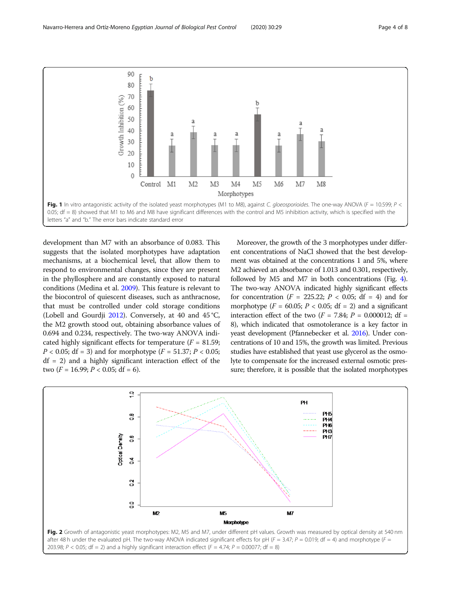<span id="page-3-0"></span>

development than M7 with an absorbance of 0.083. This suggests that the isolated morphotypes have adaptation mechanisms, at a biochemical level, that allow them to respond to environmental changes, since they are present in the phyllosphere and are constantly exposed to natural conditions (Medina et al. [2009](#page-7-0)). This feature is relevant to the biocontrol of quiescent diseases, such as anthracnose, that must be controlled under cold storage conditions (Lobell and Gourdji [2012\)](#page-7-0). Conversely, at 40 and 45 °C, the M2 growth stood out, obtaining absorbance values of 0.694 and 0.234, respectively. The two-way ANOVA indicated highly significant effects for temperature  $(F = 81.59)$ ;  $P < 0.05$ ; df = 3) and for morphotype ( $F = 51.37$ ;  $P < 0.05$ ;  $df = 2$ ) and a highly significant interaction effect of the two  $(F = 16.99; P < 0.05; df = 6)$ .

Moreover, the growth of the 3 morphotypes under different concentrations of NaCl showed that the best development was obtained at the concentrations 1 and 5%, where M2 achieved an absorbance of 1.013 and 0.301, respectively, followed by M5 and M7 in both concentrations (Fig. [4](#page-4-0)). The two-way ANOVA indicated highly significant effects for concentration ( $F = 225.22$ ;  $P < 0.05$ ; df = 4) and for morphotype ( $F = 60.05$ ;  $P < 0.05$ ; df = 2) and a significant interaction effect of the two  $(F = 7.84; P = 0.000012; df =$ 8), which indicated that osmotolerance is a key factor in yeast development (Pfannebecker et al. [2016](#page-7-0)). Under concentrations of 10 and 15%, the growth was limited. Previous studies have established that yeast use glycerol as the osmolyte to compensate for the increased external osmotic pressure; therefore, it is possible that the isolated morphotypes



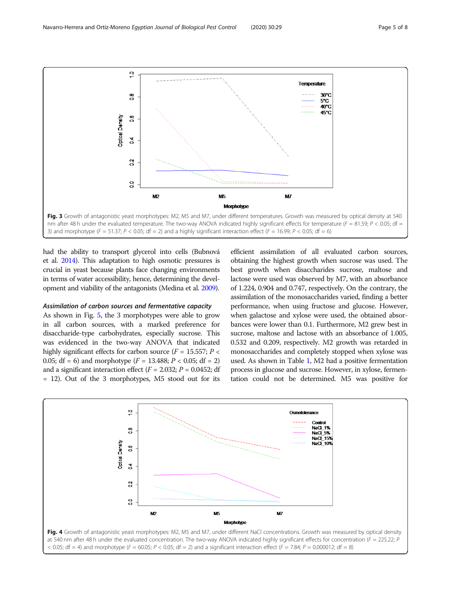had the ability to transport glycerol into cells (Bubnová et al. [2014\)](#page-6-0). This adaptation to high osmotic pressures is crucial in yeast because plants face changing environments in terms of water accessibility, hence, determining the development and viability of the antagonists (Medina et al. [2009\)](#page-7-0).

## Assimilation of carbon sources and fermentative capacity

As shown in Fig. [5](#page-5-0), the 3 morphotypes were able to grow in all carbon sources, with a marked preference for disaccharide-type carbohydrates, especially sucrose. This was evidenced in the two-way ANOVA that indicated highly significant effects for carbon source ( $F = 15.557$ ;  $P <$ 0.05; df = 6) and morphotype  $(F = 13.488; P < 0.05; df = 2)$ and a significant interaction effect ( $F = 2.032$ ;  $P = 0.0452$ ; df = 12). Out of the 3 morphotypes, M5 stood out for its

efficient assimilation of all evaluated carbon sources, obtaining the highest growth when sucrose was used. The best growth when disaccharides sucrose, maltose and lactose were used was observed by M7, with an absorbance of 1.224, 0.904 and 0.747, respectively. On the contrary, the assimilation of the monosaccharides varied, finding a better performance, when using fructose and glucose. However, when galactose and xylose were used, the obtained absorbances were lower than 0.1. Furthermore, M2 grew best in sucrose, maltose and lactose with an absorbance of 1.005, 0.532 and 0.209, respectively. M2 growth was retarded in monosaccharides and completely stopped when xylose was used. As shown in Table [1](#page-5-0), M2 had a positive fermentation process in glucose and sucrose. However, in xylose, fermentation could not be determined. M5 was positive for

<span id="page-4-0"></span>



 $<$  0.05; df = 4) and morphotype ( $F = 60.05$ ;  $P < 0.05$ ; df = 2) and a significant interaction effect ( $F = 7.84$ ;  $P = 0.000012$ ; df = 8)

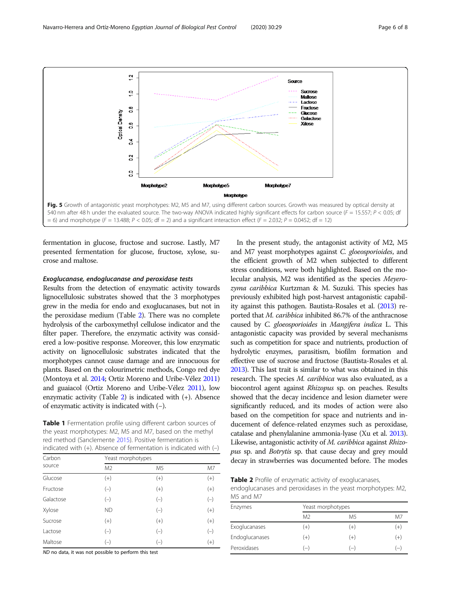fermentation in glucose, fructose and sucrose. Lastly, M7 presented fermentation for glucose, fructose, xylose, sucrose and maltose.

<span id="page-5-0"></span> $\frac{a}{b}$ 

 $\frac{1}{2}$ 

္မိ

ဦ

 $\mathbf{a}$ 

ី

 $\mathbf{S}$ 

Morphotype2

Optical Density

## Exoglucanase, endoglucanase and peroxidase tests

Results from the detection of enzymatic activity towards lignocellulosic substrates showed that the 3 morphotypes grew in the media for endo and exoglucanases, but not in the peroxidase medium (Table 2). There was no complete hydrolysis of the carboxymethyl cellulose indicator and the filter paper. Therefore, the enzymatic activity was considered a low-positive response. Moreover, this low enzymatic activity on lignocellulosic substrates indicated that the morphotypes cannot cause damage and are innocuous for plants. Based on the colourimetric methods, Congo red dye (Montoya et al. [2014;](#page-7-0) Ortiz Moreno and Uribe-Vélez [2011](#page-7-0)) and guaiacol (Ortiz Moreno and Uribe-Vélez [2011\)](#page-7-0), low enzymatic activity (Table 2) is indicated with (+). Absence of enzymatic activity is indicated with (−).

Table 1 Fermentation profile using different carbon sources of the yeast morphotypes: M2, M5 and M7, based on the methyl red method (Sanclemente [2015](#page-7-0)). Positive fermentation is indicated with (+). Absence of fermentation is indicated with (–)

| Carbon<br>source | Yeast morphotypes |                |       |
|------------------|-------------------|----------------|-------|
|                  | M <sub>2</sub>    | M <sub>5</sub> | M7    |
| Glucose          | $(+)$             | $(+)$          | $(+)$ |
| Fructose         | $(-)$             | $(+)$          | $(+)$ |
| Galactose        | $(-)$             | $(-)$          | $(-)$ |
| Xylose           | <b>ND</b>         | $(-)$          | $(+)$ |
| Sucrose          | $(+)$             | $(+)$          | $(+)$ |
| Lactose          | $(-)$             | $(-)$          | $(-)$ |
| Maltose          | $(-)$             | $(-)$          | $(+)$ |

ND no data, it was not possible to perform this test

In the present study, the antagonist activity of M2, M5 and M7 yeast morphotypes against C. gloeosporioides, and the efficient growth of M2 when subjected to different stress conditions, were both highlighted. Based on the molecular analysis, M2 was identified as the species Meyerozyma caribbica Kurtzman & M. Suzuki. This species has previously exhibited high post-harvest antagonistic capability against this pathogen. Bautista-Rosales et al. ([2013\)](#page-6-0) reported that M. caribbica inhibited 86.7% of the anthracnose caused by C. gloeosporioides in Mangifera indica L. This antagonistic capacity was provided by several mechanisms such as competition for space and nutrients, production of hydrolytic enzymes, parasitism, biofilm formation and effective use of sucrose and fructose (Bautista-Rosales et al. [2013\)](#page-6-0). This last trait is similar to what was obtained in this research. The species M. caribbica was also evaluated, as a biocontrol agent against Rhizopus sp. on peaches. Results showed that the decay incidence and lesion diameter were significantly reduced, and its modes of action were also based on the competition for space and nutrients and inducement of defence-related enzymes such as peroxidase, catalase and phenylalanine ammonia-lyase (Xu et al. [2013](#page-7-0)). Likewise, antagonistic activity of M. caribbica against Rhizopus sp. and Botrytis sp. that cause decay and grey mould decay in strawberries was documented before. The modes

Source

Morphotype7

**Sucrose** 

Malinse Lactose **Fructose** 

Glucose Galactose

**Xilose** 

Table 2 Profile of enzymatic activity of exoglucanases,

endoglucanases and peroxidases in the yeast morphotypes: M2, M5 and M7

| Enzymes        | Yeast morphotypes |       |       |  |
|----------------|-------------------|-------|-------|--|
|                | M <sub>2</sub>    | M5    | M7    |  |
| Exoglucanases  | $^{(+)}$          | $(+)$ | $(+)$ |  |
| Endoglucanases | $^{(+)}$          | $(+)$ | $(+)$ |  |
| Peroxidases    | $(-)$             | $-)$  | $(-)$ |  |

Fig. 5 Growth of antagonistic yeast morphotypes: M2, M5 and M7, using different carbon sources. Growth was measured by optical density at 540 nm after 48 h under the evaluated source. The two-way ANOVA indicated highly significant effects for carbon source ( $F = 15.557$ ;  $P < 0.05$ ; df

Morphotype

Morphotype5

 $= 6$ ) and morphotype (F = 13.488; P < 0.05; df = 2) and a significant interaction effect (F = 2.032; P = 0.0452; df = 12)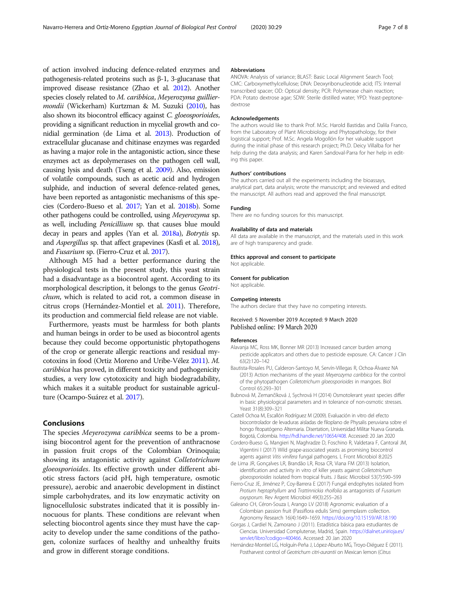<span id="page-6-0"></span>of action involved inducing defence-related enzymes and pathogenesis-related proteins such as β-1, 3-glucanase that improved disease resistance (Zhao et al. [2012\)](#page-7-0). Another species closely related to M. caribbica, Meyerozyma guilliermondii (Wickerham) Kurtzman & M. Suzuki [\(2010](#page-7-0)), has also shown its biocontrol efficacy against C. gloeosporioides, providing a significant reduction in mycelial growth and conidial germination (de Lima et al. 2013). Production of extracellular glucanase and chitinase enzymes was regarded as having a major role in the antagonistic action, since these enzymes act as depolymerases on the pathogen cell wall, causing lysis and death (Tseng et al. [2009](#page-7-0)). Also, emission of volatile compounds, such as acetic acid and hydrogen sulphide, and induction of several defence-related genes, have been reported as antagonistic mechanisms of this species (Cordero-Bueso et al. 2017; Yan et al. [2018b](#page-7-0)). Some other pathogens could be controlled, using Meyerozyma sp. as well, including Penicillium sp. that causes blue mould decay in pears and apples (Yan et al. [2018a\)](#page-7-0), Botrytis sp. and Aspergillus sp. that affect grapevines (Kasfi et al. [2018](#page-7-0)), and Fusarium sp. (Fierro-Cruz et al. 2017).

Although M5 had a better performance during the physiological tests in the present study, this yeast strain had a disadvantage as a biocontrol agent. According to its morphological description, it belongs to the genus Geotrichum, which is related to acid rot, a common disease in citrus crops (Hernández-Montiel et al. 2011). Therefore, its production and commercial field release are not viable.

Furthermore, yeasts must be harmless for both plants and human beings in order to be used as biocontrol agents because they could become opportunistic phytopathogens of the crop or generate allergic reactions and residual mycotoxins in food (Ortiz Moreno and Uribe-Vélez [2011\)](#page-7-0). M. caribbica has proved, in different toxicity and pathogenicity studies, a very low cytotoxicity and high biodegradability, which makes it a suitable product for sustainable agriculture (Ocampo-Suárez et al. [2017\)](#page-7-0).

## Conclusions

The species Meyerozyma caribbica seems to be a promising biocontrol agent for the prevention of anthracnose in passion fruit crops of the Colombian Orinoquia; showing its antagonistic activity against Colletotrichum gloeosporioides. Its effective growth under different abiotic stress factors (acid pH, high temperature, osmotic pressure), aerobic and anaerobic development in distinct simple carbohydrates, and its low enzymatic activity on lignocellulosic substrates indicated that it is possibly innocuous for plants. These conditions are relevant when selecting biocontrol agents since they must have the capacity to develop under the same conditions of the pathogen, colonize surfaces of healthy and unhealthy fruits and grow in different storage conditions.

#### Abbreviations

ANOVA: Analysis of variance; BLAST: Basic Local Alignment Search Tool; CMC: Carboxymethylcellulose; DNA: Deoxyribonucleotide acid; ITS: Internal transcribed spacer; OD: Optical density; PCR: Polymerase chain reaction; PDA: Potato dextrose agar; SDW: Sterile distilled water; YPD: Yeast-peptonedextrose

#### Acknowledgements

The authors would like to thank Prof. M.Sc. Harold Bastidas and Dalila Franco, from the Laboratory of Plant Microbiology and Phytopathology, for their logistical support; Prof. M.Sc. Angela Mogollón for her valuable support during the initial phase of this research project; Ph.D. Deicy Villalba for her help during the data analysis; and Karen Sandoval-Parra for her help in editing this paper.

#### Authors' contributions

The authors carried out all the experiments including the bioassays, analytical part, data analysis; wrote the manuscript; and reviewed and edited the manuscript. All authors read and approved the final manuscript.

#### Funding

There are no funding sources for this manuscript.

#### Availability of data and materials

All data are available in the manuscript, and the materials used in this work are of high transparency and grade.

### Ethics approval and consent to participate

Not applicable.

#### Consent for publication

Not applicable.

#### Competing interests

The authors declare that they have no competing interests.

#### Received: 5 November 2019 Accepted: 9 March 2020 Published online: 19 March 2020

#### References

- Alavanja MC, Ross MK, Bonner MR (2013) Increased cancer burden among pesticide applicators and others due to pesticide exposure. CA: Cancer J Clin 63(2):120–142
- Bautista-Rosales PU, Calderon-Santoyo M, Servín-Villegas R, Ochoa-Álvarez NA (2013) Action mechanisms of the yeast Meyerozyma caribbica for the control of the phytopathogen Colletotrichum gloeosporioides in mangoes. Biol Control 65:293–301
- Bubnová M, Zemančíková J, Sychrová H (2014) Osmotolerant yeast species differ in basic physiological parameters and in tolerance of non-osmotic stresses. Yeast 31(8):309–321
- Castell Ochoa M, Escallón Rodríguez M (2009). Evaluación in vitro del efecto biocontrolador de levaduras aisladas de filoplano de Physalis peruviana sobre el hongo fitopatógeno Alternaria. Disertation, Universidad Militar Nueva Granada. Bogotá, Colombia. <http://hdl.handle.net/10654/408>. Accessed: 20 Jan 2020
- Cordero-Bueso G, Mangieri N, Maghradze D, Foschino R, Valdetara F, Cantoral JM, Vigentini I (2017) Wild grape-associated yeasts as promising biocontrol agents against Vitis vinifera fungal pathogens. L Front Microbiol 8:2025
- de Lima JR, Gonçalves LR, Brandão LR, Rosa CR, Viana FM (2013) Isolation, identification and activity in vitro of killer yeasts against Colletotrichum gloeosporioides isolated from tropical fruits. J Basic Microbiol 53(7):590–599
- Fierro-Cruz JE, Jiménez P, Coy-Barrera E (2017) Fungal endophytes isolated from Protium heptaphyllum and Trattinnickia rhoifolia as antagonists of Fusarium oxysporum. Rev Argent Microbiol 49(3):255–263
- Galeano CH, Céron-Souza I, Arango LV (2018) Agronomic evaluation of a Colombian passion fruit (Passiflora edulis Sims) germplasm collection. Agronomy Research 16(4):1649–1659. <https://doi.org/10.15159/AR.18.190>
- Gorgas J, Cardiel N, Zamorano J (2011). Estadística básica para estudiantes de Ciencias. Universidad Complutense, Madrid, Spain. [https://dialnet.unirioja.es/](https://dialnet.unirioja.es/servlet/libro?codigo=400466) [servlet/libro?codigo=400466](https://dialnet.unirioja.es/servlet/libro?codigo=400466). Accessed: 20 Jan 2020
- Hernández-Montiel LG, Holguín-Peña J, López-Aburto MG, Troyo-Diéguez E (2011). Postharvest control of Geotrichum citri-aurantii on Mexican lemon (Citrus